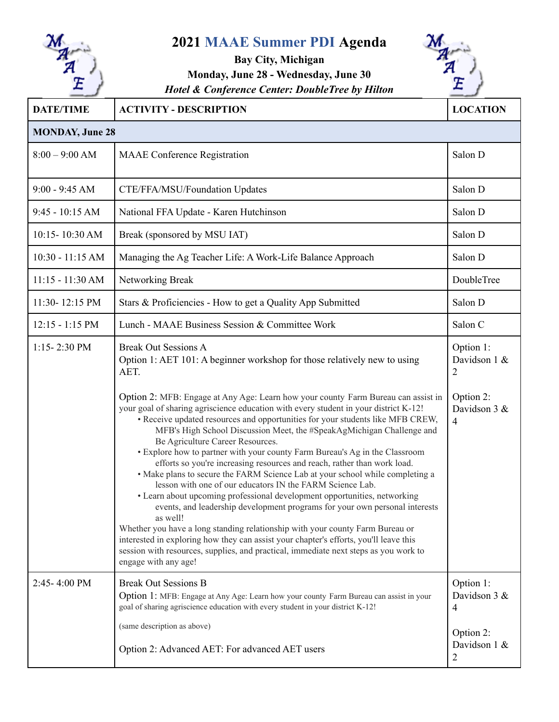

## **2021 MAAE Summer PDI Agenda**

## **Bay City, Michigan Monday, June 28 - Wednesday, June 30** *Hotel & Conference Center: DoubleTree by Hilton*



| <b>DATE/TIME</b>       | <b>ACTIVITY - DESCRIPTION</b>                                                                                                                                                                                                                                                                                                                                                                                                                                                                                                                                                                                                                                                                                                                                                                                                                                                                                                                                                                                                                                                                                                                                                                                                                                          | <b>LOCATION</b>                                                                            |  |  |
|------------------------|------------------------------------------------------------------------------------------------------------------------------------------------------------------------------------------------------------------------------------------------------------------------------------------------------------------------------------------------------------------------------------------------------------------------------------------------------------------------------------------------------------------------------------------------------------------------------------------------------------------------------------------------------------------------------------------------------------------------------------------------------------------------------------------------------------------------------------------------------------------------------------------------------------------------------------------------------------------------------------------------------------------------------------------------------------------------------------------------------------------------------------------------------------------------------------------------------------------------------------------------------------------------|--------------------------------------------------------------------------------------------|--|--|
| <b>MONDAY, June 28</b> |                                                                                                                                                                                                                                                                                                                                                                                                                                                                                                                                                                                                                                                                                                                                                                                                                                                                                                                                                                                                                                                                                                                                                                                                                                                                        |                                                                                            |  |  |
| $8:00 - 9:00$ AM       | <b>MAAE</b> Conference Registration                                                                                                                                                                                                                                                                                                                                                                                                                                                                                                                                                                                                                                                                                                                                                                                                                                                                                                                                                                                                                                                                                                                                                                                                                                    | Salon D                                                                                    |  |  |
| $9:00 - 9:45 AM$       | CTE/FFA/MSU/Foundation Updates                                                                                                                                                                                                                                                                                                                                                                                                                                                                                                                                                                                                                                                                                                                                                                                                                                                                                                                                                                                                                                                                                                                                                                                                                                         | Salon D                                                                                    |  |  |
| $9:45 - 10:15$ AM      | National FFA Update - Karen Hutchinson                                                                                                                                                                                                                                                                                                                                                                                                                                                                                                                                                                                                                                                                                                                                                                                                                                                                                                                                                                                                                                                                                                                                                                                                                                 | Salon D                                                                                    |  |  |
| 10:15-10:30 AM         | Break (sponsored by MSU IAT)                                                                                                                                                                                                                                                                                                                                                                                                                                                                                                                                                                                                                                                                                                                                                                                                                                                                                                                                                                                                                                                                                                                                                                                                                                           | Salon D                                                                                    |  |  |
| 10:30 - 11:15 AM       | Managing the Ag Teacher Life: A Work-Life Balance Approach                                                                                                                                                                                                                                                                                                                                                                                                                                                                                                                                                                                                                                                                                                                                                                                                                                                                                                                                                                                                                                                                                                                                                                                                             | Salon D                                                                                    |  |  |
| $11:15 - 11:30$ AM     | Networking Break                                                                                                                                                                                                                                                                                                                                                                                                                                                                                                                                                                                                                                                                                                                                                                                                                                                                                                                                                                                                                                                                                                                                                                                                                                                       | DoubleTree                                                                                 |  |  |
| 11:30-12:15 PM         | Stars & Proficiencies - How to get a Quality App Submitted                                                                                                                                                                                                                                                                                                                                                                                                                                                                                                                                                                                                                                                                                                                                                                                                                                                                                                                                                                                                                                                                                                                                                                                                             | Salon D                                                                                    |  |  |
| $12:15 - 1:15$ PM      | Lunch - MAAE Business Session & Committee Work                                                                                                                                                                                                                                                                                                                                                                                                                                                                                                                                                                                                                                                                                                                                                                                                                                                                                                                                                                                                                                                                                                                                                                                                                         | Salon C                                                                                    |  |  |
| $1:15 - 2:30$ PM       | <b>Break Out Sessions A</b><br>Option 1: AET 101: A beginner workshop for those relatively new to using<br>AET.<br>Option 2: MFB: Engage at Any Age: Learn how your county Farm Bureau can assist in<br>your goal of sharing agriscience education with every student in your district K-12!<br>• Receive updated resources and opportunities for your students like MFB CREW,<br>MFB's High School Discussion Meet, the #SpeakAgMichigan Challenge and<br>Be Agriculture Career Resources.<br>• Explore how to partner with your county Farm Bureau's Ag in the Classroom<br>efforts so you're increasing resources and reach, rather than work load.<br>• Make plans to secure the FARM Science Lab at your school while completing a<br>lesson with one of our educators IN the FARM Science Lab.<br>• Learn about upcoming professional development opportunities, networking<br>events, and leadership development programs for your own personal interests<br>as well!<br>Whether you have a long standing relationship with your county Farm Bureau or<br>interested in exploring how they can assist your chapter's efforts, you'll leave this<br>session with resources, supplies, and practical, immediate next steps as you work to<br>engage with any age! | Option 1:<br>Davidson 1 &<br>$\overline{2}$<br>Option 2:<br>Davidson 3 &<br>$\overline{4}$ |  |  |
| 2:45-4:00 PM           | <b>Break Out Sessions B</b><br>Option 1: MFB: Engage at Any Age: Learn how your county Farm Bureau can assist in your<br>goal of sharing agriscience education with every student in your district K-12!<br>(same description as above)<br>Option 2: Advanced AET: For advanced AET users                                                                                                                                                                                                                                                                                                                                                                                                                                                                                                                                                                                                                                                                                                                                                                                                                                                                                                                                                                              | Option 1:<br>Davidson 3 &<br>4<br>Option 2:<br>Davidson 1 &<br>2                           |  |  |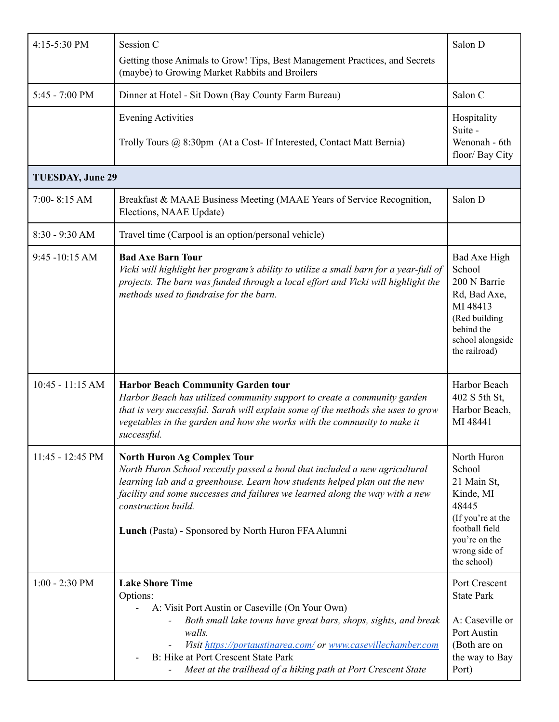| 4:15-5:30 PM             | Session C                                                                                                                                                                                                                                                                                                                                                   | Salon D                                                                                                                                            |  |  |  |
|--------------------------|-------------------------------------------------------------------------------------------------------------------------------------------------------------------------------------------------------------------------------------------------------------------------------------------------------------------------------------------------------------|----------------------------------------------------------------------------------------------------------------------------------------------------|--|--|--|
|                          | Getting those Animals to Grow! Tips, Best Management Practices, and Secrets<br>(maybe) to Growing Market Rabbits and Broilers                                                                                                                                                                                                                               |                                                                                                                                                    |  |  |  |
| $5:45 - 7:00 \text{ PM}$ | Dinner at Hotel - Sit Down (Bay County Farm Bureau)                                                                                                                                                                                                                                                                                                         | Salon C                                                                                                                                            |  |  |  |
|                          | <b>Evening Activities</b><br>Trolly Tours @ 8:30pm (At a Cost- If Interested, Contact Matt Bernia)                                                                                                                                                                                                                                                          | Hospitality<br>Suite -<br>Wenonah - 6th<br>floor/ Bay City                                                                                         |  |  |  |
| <b>TUESDAY, June 29</b>  |                                                                                                                                                                                                                                                                                                                                                             |                                                                                                                                                    |  |  |  |
| 7:00-8:15 AM             | Breakfast & MAAE Business Meeting (MAAE Years of Service Recognition,<br>Elections, NAAE Update)                                                                                                                                                                                                                                                            | Salon D                                                                                                                                            |  |  |  |
| 8:30 - 9:30 AM           | Travel time (Carpool is an option/personal vehicle)                                                                                                                                                                                                                                                                                                         |                                                                                                                                                    |  |  |  |
| $9:45 - 10:15$ AM        | <b>Bad Axe Barn Tour</b><br>Vicki will highlight her program's ability to utilize a small barn for a year-full of<br>projects. The barn was funded through a local effort and Vicki will highlight the<br>methods used to fundraise for the barn.                                                                                                           | Bad Axe High<br>School<br>200 N Barrie<br>Rd, Bad Axe,<br>MI 48413<br>(Red building<br>behind the<br>school alongside<br>the railroad)             |  |  |  |
| $10:45 - 11:15$ AM       | <b>Harbor Beach Community Garden tour</b><br>Harbor Beach has utilized community support to create a community garden<br>that is very successful. Sarah will explain some of the methods she uses to grow<br>vegetables in the garden and how she works with the community to make it<br>successful.                                                        | Harbor Beach<br>402 S 5th St,<br>Harbor Beach,<br>MI 48441                                                                                         |  |  |  |
| 11:45 - 12:45 PM         | <b>North Huron Ag Complex Tour</b><br>North Huron School recently passed a bond that included a new agricultural<br>learning lab and a greenhouse. Learn how students helped plan out the new<br>facility and some successes and failures we learned along the way with a new<br>construction build.<br>Lunch (Pasta) - Sponsored by North Huron FFA Alumni | North Huron<br>School<br>21 Main St,<br>Kinde, MI<br>48445<br>(If you're at the<br>football field<br>you're on the<br>wrong side of<br>the school) |  |  |  |
| $1:00 - 2:30$ PM         | <b>Lake Shore Time</b><br>Options:<br>A: Visit Port Austin or Caseville (On Your Own)<br>Both small lake towns have great bars, shops, sights, and break<br>walls.<br>Visit https://portaustinarea.com/ or www.casevillechamber.com<br>B: Hike at Port Crescent State Park<br>Meet at the trailhead of a hiking path at Port Crescent State                 | Port Crescent<br><b>State Park</b><br>A: Caseville or<br>Port Austin<br>(Both are on<br>the way to Bay<br>Port)                                    |  |  |  |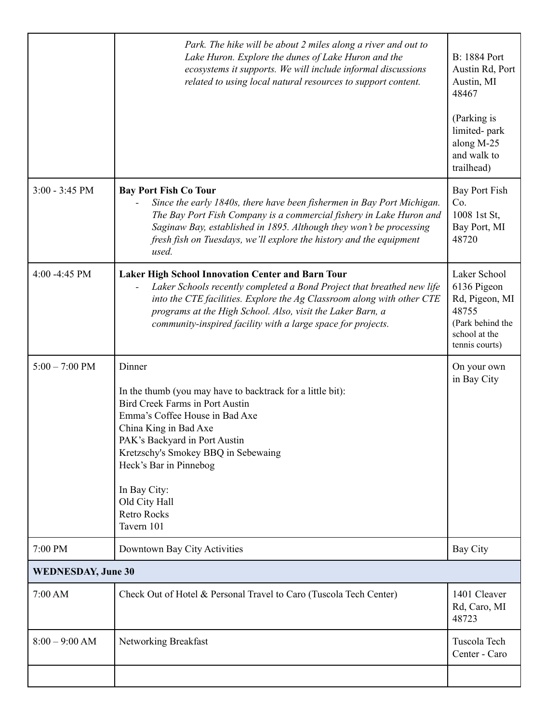|                           | Park. The hike will be about 2 miles along a river and out to<br>Lake Huron. Explore the dunes of Lake Huron and the<br>ecosystems it supports. We will include informal discussions<br>related to using local natural resources to support content.                                                                                             | <b>B:</b> 1884 Port<br>Austin Rd, Port<br>Austin, MI<br>48467<br>(Parking is<br>limited-park<br>along M-25<br>and walk to |
|---------------------------|--------------------------------------------------------------------------------------------------------------------------------------------------------------------------------------------------------------------------------------------------------------------------------------------------------------------------------------------------|---------------------------------------------------------------------------------------------------------------------------|
|                           |                                                                                                                                                                                                                                                                                                                                                  | trailhead)                                                                                                                |
| $3:00 - 3:45$ PM          | <b>Bay Port Fish Co Tour</b><br>Since the early 1840s, there have been fishermen in Bay Port Michigan.<br>The Bay Port Fish Company is a commercial fishery in Lake Huron and<br>Saginaw Bay, established in 1895. Although they won't be processing<br>fresh fish on Tuesdays, we'll explore the history and the equipment<br>used.             | Bay Port Fish<br>Co.<br>1008 1st St,<br>Bay Port, MI<br>48720                                                             |
| 4:00 - 4:45 PM            | <b>Laker High School Innovation Center and Barn Tour</b><br>Laker Schools recently completed a Bond Project that breathed new life<br>into the CTE facilities. Explore the Ag Classroom along with other CTE<br>programs at the High School. Also, visit the Laker Barn, a<br>community-inspired facility with a large space for projects.       | Laker School<br>6136 Pigeon<br>Rd, Pigeon, MI<br>48755<br>(Park behind the<br>school at the<br>tennis courts)             |
| $5:00 - 7:00 \text{ PM}$  | Dinner<br>In the thumb (you may have to backtrack for a little bit):<br><b>Bird Creek Farms in Port Austin</b><br>Emma's Coffee House in Bad Axe<br>China King in Bad Axe<br>PAK's Backyard in Port Austin<br>Kretzschy's Smokey BBQ in Sebewaing<br>Heck's Bar in Pinnebog<br>In Bay City:<br>Old City Hall<br><b>Retro Rocks</b><br>Tavern 101 | On your own<br>in Bay City                                                                                                |
| 7:00 PM                   | Downtown Bay City Activities                                                                                                                                                                                                                                                                                                                     | <b>Bay City</b>                                                                                                           |
| <b>WEDNESDAY, June 30</b> |                                                                                                                                                                                                                                                                                                                                                  |                                                                                                                           |
| 7:00 AM                   | Check Out of Hotel & Personal Travel to Caro (Tuscola Tech Center)                                                                                                                                                                                                                                                                               | 1401 Cleaver<br>Rd, Caro, MI<br>48723                                                                                     |
| $8:00 - 9:00$ AM          | Networking Breakfast                                                                                                                                                                                                                                                                                                                             | Tuscola Tech<br>Center - Caro                                                                                             |
|                           |                                                                                                                                                                                                                                                                                                                                                  |                                                                                                                           |